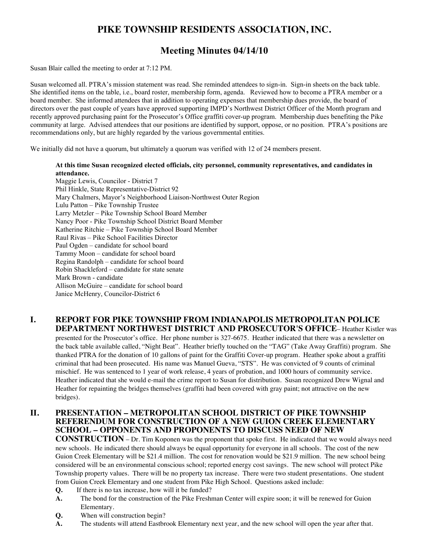# **PIKE TOWNSHIP RESIDENTS ASSOCIATION, INC.**

# **Meeting Minutes 04/14/10**

Susan Blair called the meeting to order at 7:12 PM.

Susan welcomed all. PTRA's mission statement was read. She reminded attendees to sign-in. Sign-in sheets on the back table. She identified items on the table, i.e., board roster, membership form, agenda. Reviewed how to become a PTRA member or a board member. She informed attendees that in addition to operating expenses that membership dues provide, the board of directors over the past couple of years have approved supporting IMPD's Northwest District Officer of the Month program and recently approved purchasing paint for the Prosecutor's Office graffiti cover-up program. Membership dues benefiting the Pike community at large. Advised attendees that our positions are identified by support, oppose, or no position. PTRA's positions are recommendations only, but are highly regarded by the various governmental entities.

We initially did not have a quorum, but ultimately a quorum was verified with 12 of 24 members present.

#### **At this time Susan recognized elected officials, city personnel, community representatives, and candidates in attendance.**

Maggie Lewis, Councilor - District 7 Phil Hinkle, State Representative-District 92 Mary Chalmers, Mayor's Neighborhood Liaison-Northwest Outer Region Lulu Patton – Pike Township Trustee Larry Metzler – Pike Township School Board Member Nancy Poor - Pike Township School District Board Member Katherine Ritchie – Pike Township School Board Member Raul Rivas – Pike School Facilities Director Paul Ogden – candidate for school board Tammy Moon – candidate for school board Regina Randolph – candidate for school board Robin Shackleford – candidate for state senate Mark Brown - candidate Allison McGuire – candidate for school board Janice McHenry, Councilor-District 6

#### **I. REPORT FOR PIKE TOWNSHIP FROM INDIANAPOLIS METROPOLITAN POLICE DEPARTMENT NORTHWEST DISTRICT AND PROSECUTOR'S OFFICE**– Heather Kistler was

presented for the Prosecutor's office. Her phone number is 327-6675. Heather indicated that there was a newsletter on the back table available called, "Night Beat". Heather briefly touched on the "TAG" (Take Away Graffiti) program. She thanked PTRA for the donation of 10 gallons of paint for the Graffiti Cover-up program. Heather spoke about a graffiti criminal that had been prosecuted. His name was Manuel Gueva, "STS". He was convicted of 9 counts of criminal mischief. He was sentenced to 1 year of work release, 4 years of probation, and 1000 hours of community service. Heather indicated that she would e-mail the crime report to Susan for distribution. Susan recognized Drew Wignal and Heather for repainting the bridges themselves (graffiti had been covered with gray paint; not attractive on the new bridges).

#### **II. PRESENTATION – METROPOLITAN SCHOOL DISTRICT OF PIKE TOWNSHIP REFERENDUM FOR CONSTRUCTION OF A NEW GUION CREEK ELEMENTARY SCHOOL – OPPONENTS AND PROPONENTS TO DISCUSS NEED OF NEW**

**CONSTRUCTION** – Dr. Tim Koponen was the proponent that spoke first. He indicated that we would always need new schools. He indicated there should always be equal opportunity for everyone in all schools. The cost of the new Guion Creek Elementary will be \$21.4 million. The cost for renovation would be \$21.9 million. The new school being considered will be an environmental conscious school; reported energy cost savings. The new school will protect Pike Township property values. There will be no property tax increase. There were two student presentations. One student from Guion Creek Elementary and one student from Pike High School. Questions asked include:

- **Q.** If there is no tax increase, how will it be funded?
- **A.** The bond for the construction of the Pike Freshman Center will expire soon; it will be renewed for Guion Elementary.
- **Q.** When will construction begin?
- **A.** The students will attend Eastbrook Elementary next year, and the new school will open the year after that.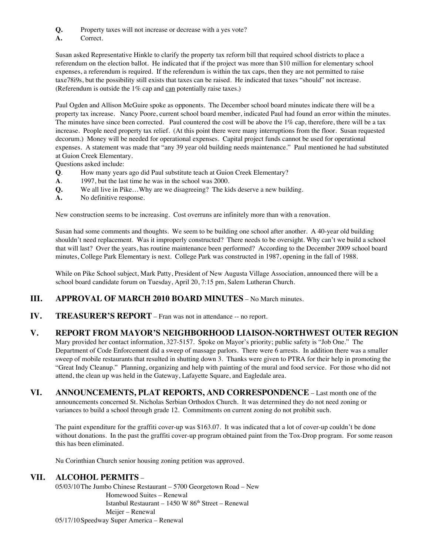- **Q.** Property taxes will not increase or decrease with a yes vote?
- **A.** Correct.

Susan asked Representative Hinkle to clarify the property tax reform bill that required school districts to place a referendum on the election ballot. He indicated that if the project was more than \$10 million for elementary school expenses, a referendum is required. If the referendum is within the tax caps, then they are not permitted to raise taxe78i9s, but the possibility still exists that taxes can be raised. He indicated that taxes "should" not increase. (Referendum is outside the  $1\%$  cap and can potentially raise taxes.)

Paul Ogden and Allison McGuire spoke as opponents. The December school board minutes indicate there will be a property tax increase. Nancy Poore, current school board member, indicated Paul had found an error within the minutes. The minutes have since been corrected. Paul countered the cost will be above the 1% cap, therefore, there will be a tax increase. People need property tax relief. (At this point there were many interruptions from the floor. Susan requested decorum.) Money will be needed for operational expenses. Capital project funds cannot be used for operational expenses. A statement was made that "any 39 year old building needs maintenance." Paul mentioned he had substituted at Guion Creek Elementary.

Questions asked include:

- **Q**. How many years ago did Paul substitute teach at Guion Creek Elementary?
- **A**. 1997, but the last time he was in the school was 2000.
- **Q.** We all live in Pike...Why are we disagreeing? The kids deserve a new building.
- **A.** No definitive response.

New construction seems to be increasing. Cost overruns are infinitely more than with a renovation.

Susan had some comments and thoughts. We seem to be building one school after another. A 40-year old building shouldn't need replacement. Was it improperly constructed? There needs to be oversight. Why can't we build a school that will last? Over the years, has routine maintenance been performed? According to the December 2009 school board minutes, College Park Elementary is next. College Park was constructed in 1987, opening in the fall of 1988.

While on Pike School subject, Mark Patty, President of New Augusta Village Association, announced there will be a school board candidate forum on Tuesday, April 20, 7:15 pm, Salem Lutheran Church.

## **III. APPROVAL OF MARCH 2010 BOARD MINUTES** – No March minutes.

**IV. TREASURER'S REPORT** – Fran was not in attendance -- no report.

### **V. REPORT FROM MAYOR'S NEIGHBORHOOD LIAISON-NORTHWEST OUTER REGION**

Mary provided her contact information, 327-5157. Spoke on Mayor's priority; public safety is "Job One." The Department of Code Enforcement did a sweep of massage parlors. There were 6 arrests. In addition there was a smaller sweep of mobile restaurants that resulted in shutting down 3. Thanks were given to PTRA for their help in promoting the "Great Indy Cleanup." Planning, organizing and help with painting of the mural and food service. For those who did not attend, the clean up was held in the Gateway, Lafayette Square, and Eagledale area.

**VI. ANNOUNCEMENTS, PLAT REPORTS, AND CORRESPONDENCE** – Last month one of the announcements concerned St. Nicholas Serbian Orthodox Church. It was determined they do not need zoning or variances to build a school through grade 12. Commitments on current zoning do not prohibit such.

The paint expenditure for the graffiti cover-up was \$163.07. It was indicated that a lot of cover-up couldn't be done without donations. In the past the graffiti cover-up program obtained paint from the Tox-Drop program. For some reason this has been eliminated.

Nu Corinthian Church senior housing zoning petition was approved.

#### **VII. ALCOHOL PERMITS** –

05/03/10The Jumbo Chinese Restaurant – 5700 Georgetown Road – New Homewood Suites – Renewal Istanbul Restaurant – 1450 W  $86<sup>th</sup>$  Street – Renewal Meijer – Renewal 05/17/10Speedway Super America – Renewal